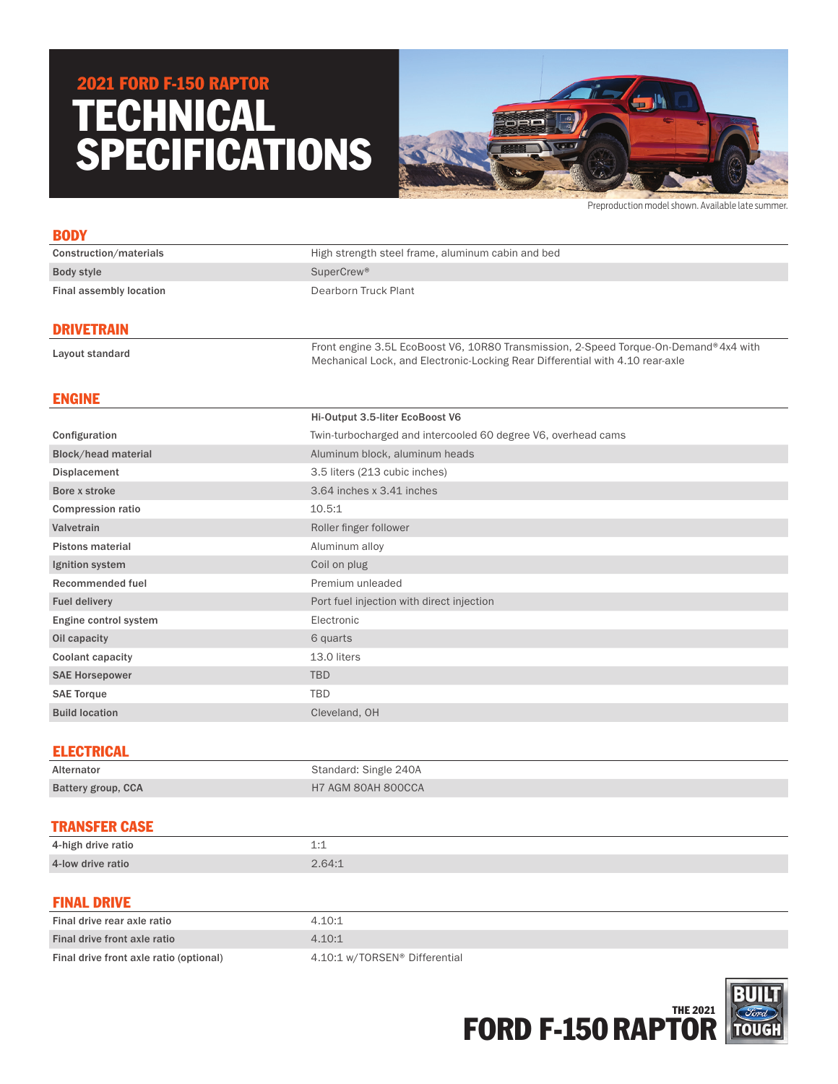# TECHNICAL SPECIFICATIONS 2021 FORD F-150 RAPTOR



Preproduction model shown. Available late summer.

| <b>BODY</b>             |                                                   |
|-------------------------|---------------------------------------------------|
| Construction/materials  | High strength steel frame, aluminum cabin and bed |
| Body style              | SuperCrew <sup>®</sup>                            |
| Final assembly location | Dearborn Truck Plant                              |
|                         |                                                   |

### DRIVETRAIN

Layout standard Front engine 3.5L EcoBoost V6, 10R80 Transmission, 2-Speed Torque-On-Demand®4x4 with Layout standard Mechanical Lock, and Electronic-Locking Rear Differential with 4.10 rear-axle

# ENGINE

|                            | Hi-Output 3.5-liter EcoBoost V6                               |
|----------------------------|---------------------------------------------------------------|
| Configuration              | Twin-turbocharged and intercooled 60 degree V6, overhead cams |
| <b>Block/head material</b> | Aluminum block, aluminum heads                                |
| Displacement               | 3.5 liters (213 cubic inches)                                 |
| Bore x stroke              | 3.64 inches x 3.41 inches                                     |
| <b>Compression ratio</b>   | 10.5:1                                                        |
| Valvetrain                 | Roller finger follower                                        |
| <b>Pistons material</b>    | Aluminum alloy                                                |
| Ignition system            | Coil on plug                                                  |
| Recommended fuel           | Premium unleaded                                              |
| <b>Fuel delivery</b>       | Port fuel injection with direct injection                     |
| Engine control system      | Electronic                                                    |
| Oil capacity               | 6 quarts                                                      |
| <b>Coolant capacity</b>    | 13.0 liters                                                   |
| <b>SAE Horsepower</b>      | TBD                                                           |
| <b>SAE Torque</b>          | <b>TBD</b>                                                    |
| <b>Build location</b>      | Cleveland, OH                                                 |
|                            |                                                               |

## ELECTRICAL

| Alternator                | Standard: Single 240A |
|---------------------------|-----------------------|
| <b>Battery group, CCA</b> | H7 AGM 80AH 800CCA    |

## TRANSFER CASE

| 4-high drive ratio | +      |
|--------------------|--------|
| 4-low drive ratio  | 2.64:1 |

#### FINAL DRIVE

| Final drive rear axle ratio             | 4.10:1                        |
|-----------------------------------------|-------------------------------|
| Final drive front axle ratio            | 4.10:1                        |
| Final drive front axle ratio (optional) | 4.10:1 w/TORSEN® Differential |

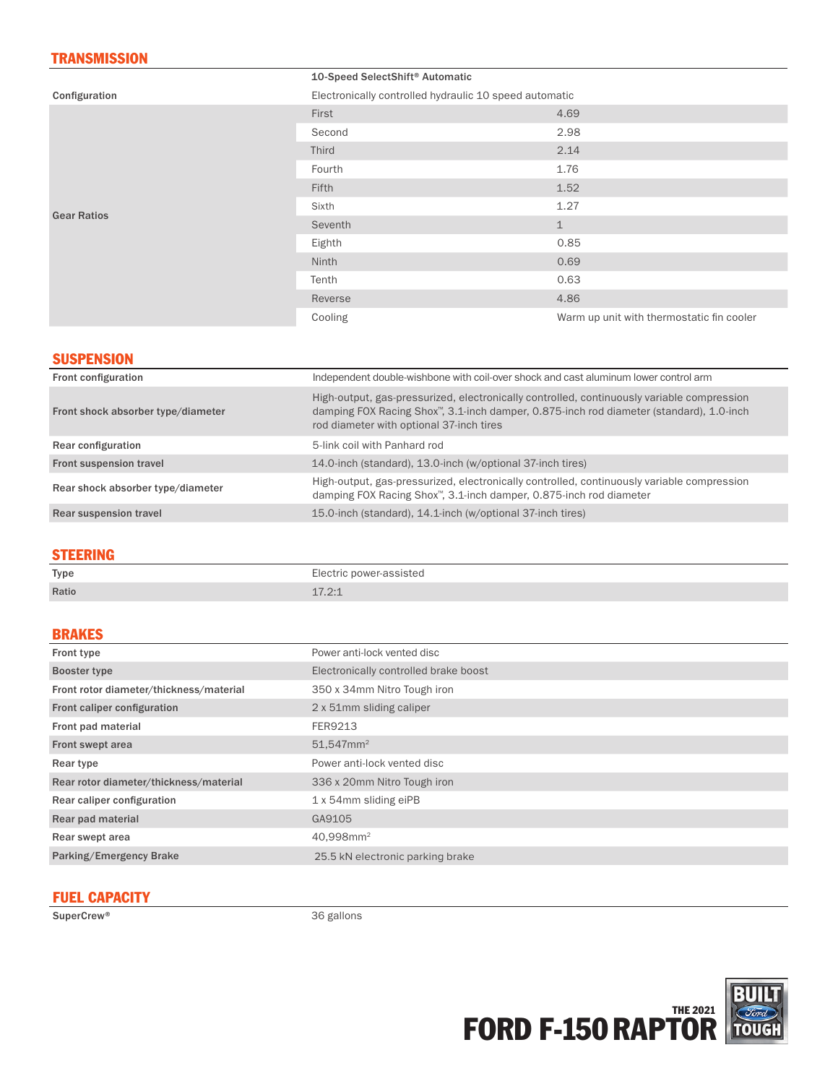# **TRANSMISSION**

|                    | 10-Speed SelectShift <sup>®</sup> Automatic            |                                           |
|--------------------|--------------------------------------------------------|-------------------------------------------|
| Configuration      | Electronically controlled hydraulic 10 speed automatic |                                           |
| <b>Gear Ratios</b> | First                                                  | 4.69                                      |
|                    | Second                                                 | 2.98                                      |
|                    | <b>Third</b>                                           | 2.14                                      |
|                    | Fourth                                                 | 1.76                                      |
|                    | <b>Fifth</b>                                           | 1.52                                      |
|                    | Sixth                                                  | 1.27                                      |
|                    | Seventh                                                | $\mathbf 1$                               |
|                    | Eighth                                                 | 0.85                                      |
|                    | Ninth                                                  | 0.69                                      |
|                    | Tenth                                                  | 0.63                                      |
|                    | Reverse                                                | 4.86                                      |
|                    | Cooling                                                | Warm up unit with thermostatic fin cooler |

## **SUSPENSION**

| Front configuration                | Independent double-wishbone with coil-over shock and cast aluminum lower control arm                                                                                                                                              |
|------------------------------------|-----------------------------------------------------------------------------------------------------------------------------------------------------------------------------------------------------------------------------------|
| Front shock absorber type/diameter | High-output, gas-pressurized, electronically controlled, continuously variable compression<br>damping FOX Racing Shox™, 3.1-inch damper, 0.875-inch rod diameter (standard), 1.0-inch<br>rod diameter with optional 37-inch tires |
| Rear configuration                 | 5-link coil with Panhard rod                                                                                                                                                                                                      |
| Front suspension travel            | 14.0-inch (standard), 13.0-inch (w/optional 37-inch tires)                                                                                                                                                                        |
| Rear shock absorber type/diameter  | High-output, gas-pressurized, electronically controlled, continuously variable compression<br>damping FOX Racing Shox™, 3.1-inch damper, 0.875-inch rod diameter                                                                  |
| Rear suspension travel             | 15.0-inch (standard), 14.1-inch (w/optional 37-inch tires)                                                                                                                                                                        |
|                                    |                                                                                                                                                                                                                                   |

### STEERING

| _____<br>Type | Electric power-assisted<br>.  |
|---------------|-------------------------------|
| Ratio         | 170.1<br>$\bot$ $\bot$ $\bot$ |

## BRAKES

| Front type                              | Power anti-lock vented disc           |
|-----------------------------------------|---------------------------------------|
| Booster type                            | Electronically controlled brake boost |
| Front rotor diameter/thickness/material | 350 x 34mm Nitro Tough iron           |
| Front caliper configuration             | 2 x 51mm sliding caliper              |
| Front pad material                      | FER9213                               |
| Front swept area                        | $51,547$ mm <sup>2</sup>              |
| Rear type                               | Power anti-lock vented disc           |
|                                         |                                       |
| Rear rotor diameter/thickness/material  | 336 x 20mm Nitro Tough iron           |
| Rear caliper configuration              | 1 x 54mm sliding eiPB                 |
| Rear pad material                       | GA9105                                |
| Rear swept area                         | 40,998mm <sup>2</sup>                 |
| Parking/Emergency Brake                 | 25.5 kN electronic parking brake      |

# FUEL CAPACITY

SuperCrew® 36 gallons

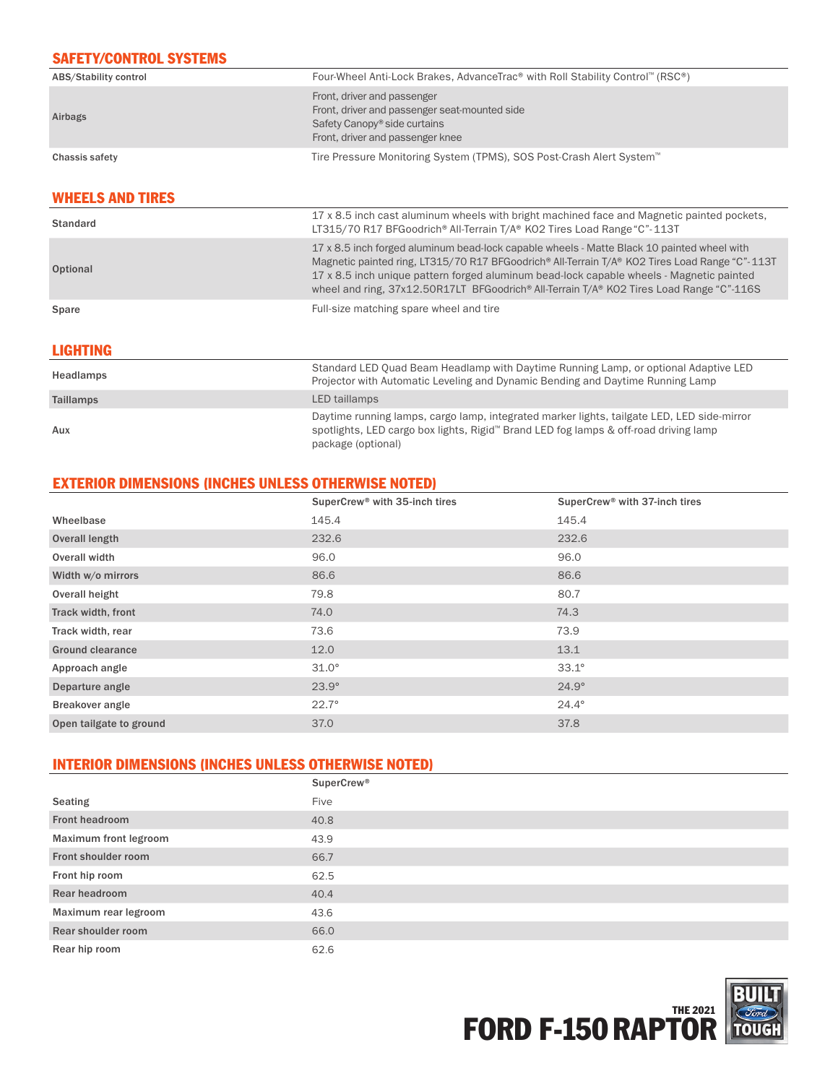## SAFETY/CONTROL SYSTEMS

| ABS/Stability control | Four-Wheel Anti-Lock Brakes, AdvanceTrac® with Roll Stability Control™ (RSC®)                                                                                |
|-----------------------|--------------------------------------------------------------------------------------------------------------------------------------------------------------|
| Airbags               | Front, driver and passenger<br>Front, driver and passenger seat-mounted side<br>Safety Canopy <sup>®</sup> side curtains<br>Front, driver and passenger knee |
| Chassis safety        | Tire Pressure Monitoring System (TPMS), SOS Post-Crash Alert System <sup>™</sup>                                                                             |

## WHEELS AND TIRES

| <b>LIGHTING</b> |                                                                                                                                                                                                                                                                                                                                                                                      |
|-----------------|--------------------------------------------------------------------------------------------------------------------------------------------------------------------------------------------------------------------------------------------------------------------------------------------------------------------------------------------------------------------------------------|
| Spare           | Full-size matching spare wheel and tire                                                                                                                                                                                                                                                                                                                                              |
| Optional        | 17 x 8.5 inch forged aluminum bead-lock capable wheels - Matte Black 10 painted wheel with<br>Magnetic painted ring, LT315/70 R17 BFGoodrich® All-Terrain T/A® KO2 Tires Load Range "C"-113T<br>17 x 8.5 inch unique pattern forged aluminum bead-lock capable wheels - Magnetic painted<br>wheel and ring, 37x12.50R17LT BFGoodrich® All-Terrain T/A® KO2 Tires Load Range "C"-116S |
| <b>Standard</b> | 17 x 8.5 inch cast aluminum wheels with bright machined face and Magnetic painted pockets,<br>LT315/70 R17 BFGoodrich® All-Terrain T/A® KO2 Tires Load Range "C"-113T                                                                                                                                                                                                                |

| Headlamps        | Standard LED Quad Beam Headlamp with Daytime Running Lamp, or optional Adaptive LED<br>Projector with Automatic Leveling and Dynamic Bending and Daytime Running Lamp                                    |
|------------------|----------------------------------------------------------------------------------------------------------------------------------------------------------------------------------------------------------|
| <b>Taillamps</b> | LED taillamps                                                                                                                                                                                            |
| Aux              | Daytime running lamps, cargo lamp, integrated marker lights, tailgate LED, LED side-mirror<br>spotlights, LED cargo box lights, Rigid™ Brand LED fog lamps & off-road driving lamp<br>package (optional) |

## EXTERIOR DIMENSIONS (INCHES UNLESS OTHERWISE NOTED)

|                         | SuperCrew® with 35-inch tires | SuperCrew <sup>®</sup> with 37-inch tires |
|-------------------------|-------------------------------|-------------------------------------------|
| Wheelbase               | 145.4                         | 145.4                                     |
| Overall length          | 232.6                         | 232.6                                     |
| Overall width           | 96.0                          | 96.0                                      |
| Width w/o mirrors       | 86.6                          | 86.6                                      |
| Overall height          | 79.8                          | 80.7                                      |
| Track width, front      | 74.0                          | 74.3                                      |
| Track width, rear       | 73.6                          | 73.9                                      |
| <b>Ground clearance</b> | 12.0                          | 13.1                                      |
| Approach angle          | $31.0^\circ$                  | $33.1^\circ$                              |
| Departure angle         | $23.9^\circ$                  | $24.9^\circ$                              |
| Breakover angle         | $22.7^{\circ}$                | $24.4^{\circ}$                            |
| Open tailgate to ground | 37.0                          | 37.8                                      |

# INTERIOR DIMENSIONS (INCHES UNLESS OTHERWISE NOTED)

|                              | <b>SuperCrew®</b> |
|------------------------------|-------------------|
| <b>Seating</b>               | Five              |
| Front headroom               | 40.8              |
| <b>Maximum front legroom</b> | 43.9              |
| Front shoulder room          | 66.7              |
| Front hip room               | 62.5              |
| Rear headroom                | 40.4              |
| Maximum rear legroom         | 43.6              |
| Rear shoulder room           | 66.0              |
| Rear hip room                | 62.6              |